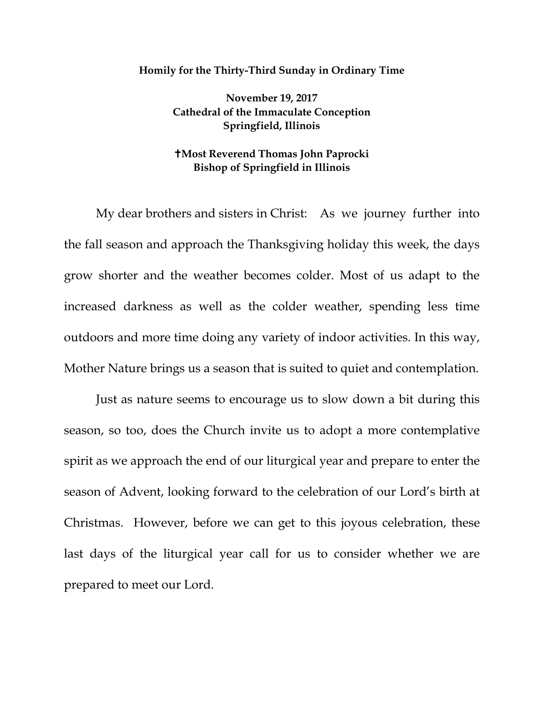## **Homily for the Thirty-Third Sunday in Ordinary Time**

**November 19, 2017 Cathedral of the Immaculate Conception Springfield, Illinois**

## **Most Reverend Thomas John Paprocki Bishop of Springfield in Illinois**

My dear brothers and sisters in Christ: As we journey further into the fall season and approach the Thanksgiving holiday this week, the days grow shorter and the weather becomes colder. Most of us adapt to the increased darkness as well as the colder weather, spending less time outdoors and more time doing any variety of indoor activities. In this way, Mother Nature brings us a season that is suited to quiet and contemplation.

Just as nature seems to encourage us to slow down a bit during this season, so too, does the Church invite us to adopt a more contemplative spirit as we approach the end of our liturgical year and prepare to enter the season of Advent, looking forward to the celebration of our Lord's birth at Christmas. However, before we can get to this joyous celebration, these last days of the liturgical year call for us to consider whether we are prepared to meet our Lord.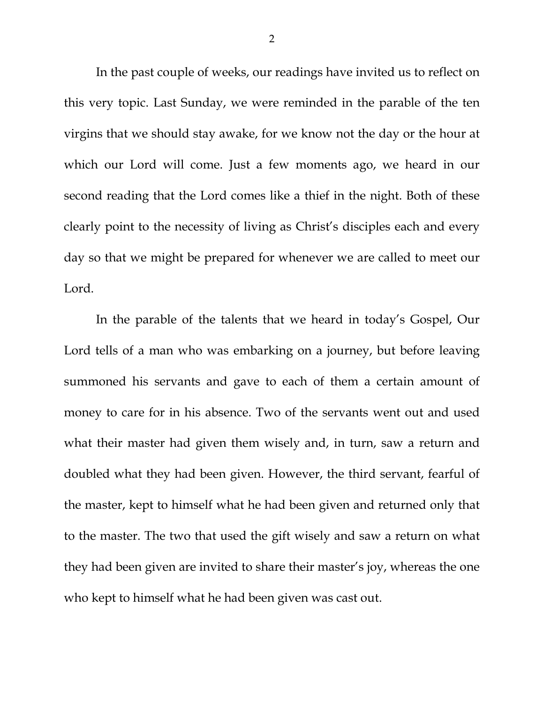In the past couple of weeks, our readings have invited us to reflect on this very topic. Last Sunday, we were reminded in the parable of the ten virgins that we should stay awake, for we know not the day or the hour at which our Lord will come. Just a few moments ago, we heard in our second reading that the Lord comes like a thief in the night. Both of these clearly point to the necessity of living as Christ's disciples each and every day so that we might be prepared for whenever we are called to meet our Lord.

In the parable of the talents that we heard in today's Gospel, Our Lord tells of a man who was embarking on a journey, but before leaving summoned his servants and gave to each of them a certain amount of money to care for in his absence. Two of the servants went out and used what their master had given them wisely and, in turn, saw a return and doubled what they had been given. However, the third servant, fearful of the master, kept to himself what he had been given and returned only that to the master. The two that used the gift wisely and saw a return on what they had been given are invited to share their master's joy, whereas the one who kept to himself what he had been given was cast out.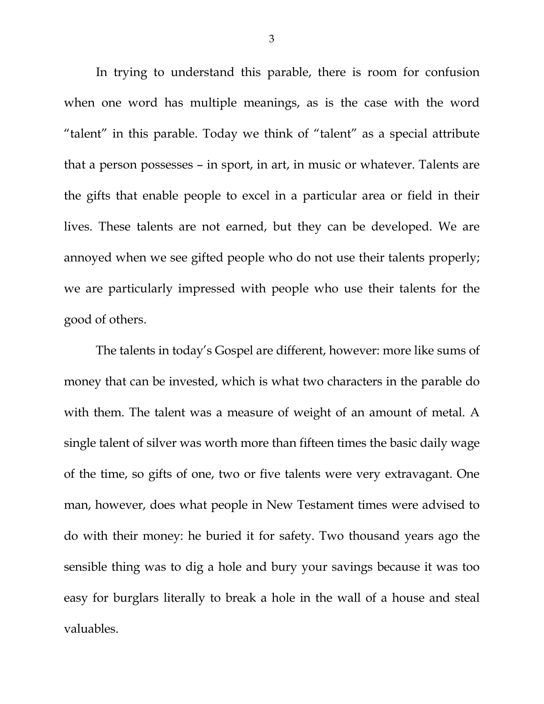In trying to understand this parable, there is room for confusion when one word has multiple meanings, as is the case with the word "talent" in this parable. Today we think of "talent" as a special attribute that a person possesses – in sport, in art, in music or whatever. Talents are the gifts that enable people to excel in a particular area or field in their lives. These talents are not earned, but they can be developed. We are annoyed when we see gifted people who do not use their talents properly; we are particularly impressed with people who use their talents for the good of others.

<span id="page-2-0"></span>The talents in today's Gospel are different, however: more like sums of money that can be invested, which is what two characters in the parable do with them. The talent was a measure of weight of an amount of metal. A single talent of silver was worth more than fifteen times the basic daily wage of the time, so gifts of one, two or five talents were very extravagant. One man, however, does what people in New Testament times were advised to do with their money: he buried it for safety. Two thousand years ago the sensible thing was to dig a hole and bury your savings because it was too easy for burglars literally to break a hole in the wall of a house and steal valuables.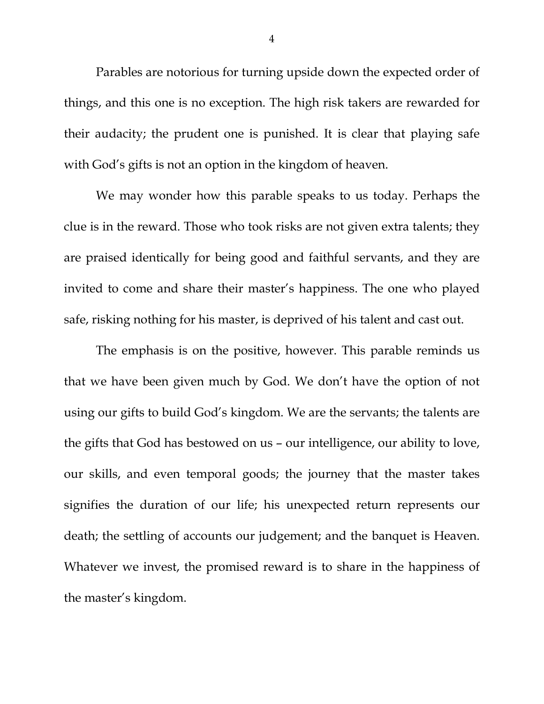Parables are notorious for turning upside down the expected order of things, and this one is no exception. The high risk takers are rewarded for their audacity; the prudent one is punished. It is clear that playing safe with God's gifts is not an option in the kingdom of heaven.

We may wonder how this parable speaks to us today. Perhaps the clue is in the reward. Those who took risks are not given extra talents; they are praised identically for being good and faithful servants, and they are invited to come and share their master's happiness. The one who played safe, risking nothing for his master, is deprived of his talent and cast out.

The emphasis is on the positive, however. This parable reminds us that we have been given much by God. We don't have the option of not using our gifts to build God's kingdom. We are the servants; the talents are the gifts that God has bestowed on us – our intelligence, our ability to love, our skills, and even temporal goods; the journey that the master takes signifies the duration of our life; his unexpected return represents our death; the settling of accounts our judgement; and the banquet is Heaven. Whatever we invest, the promised reward is to share in the happiness of the master's kingdom.

4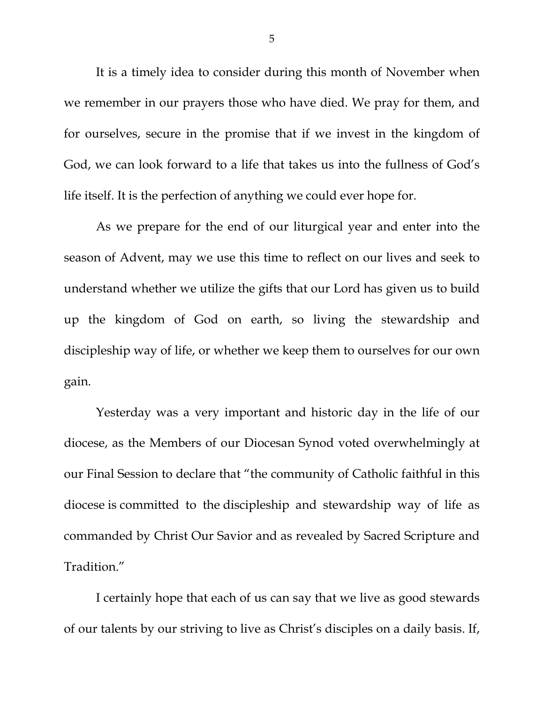It is a timely idea to consider during this month of November when we remember in our prayers those who have died. We pray for them, and for ourselves, secure in the promise that if we invest in the kingdom of God, we can look forward to a life that takes us into the fullness of God's life itself. It is the perfection of anything we could ever hope for.

As we prepare for the end of our liturgical year and enter into the season of Advent, may we use this time to reflect on our lives and seek to understand whether we utilize the gifts that our Lord has given us to build up the kingdom of God on earth, so living the stewardship and discipleship way of life, or whether we keep them to ourselves for our own gain.

Yesterday was a very important and historic day in the life of our diocese, as the Members of our Diocesan Synod voted overwhelmingly at our Final Session to declare that "the community of Catholic faithful in this diocese is committed to the discipleship and stewardship way of life as commanded by Christ Our Savior and as revealed by Sacred Scripture and Tradition."

I certainly hope that each of us can say that we live as good stewards of our talents by our striving to live as Christ's disciples on a daily basis. If,

5